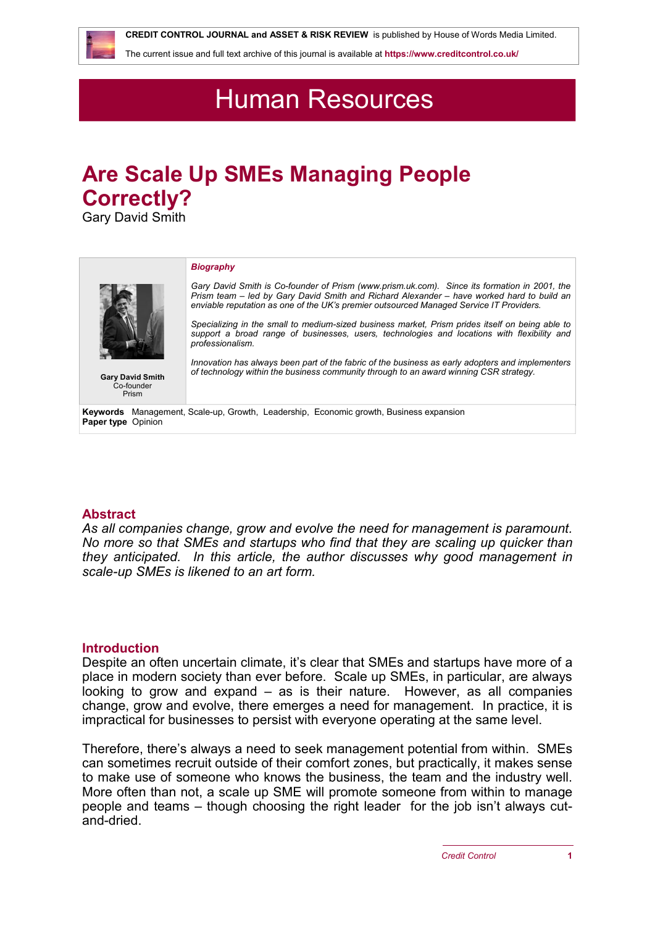**CREDIT CONTROL JOURNAL and ASSET & RISK REVIEW** is published by House of Words Media Limited.

The current issue and full text archive of this journal is available at **<https://www.creditcontrol.co.uk/>**

## Human Resources

# **Are Scale Up SMEs Managing People Correctly?**

Gary David Smith



## **Abstract**

*As all companies change, grow and evolve the need for management is paramount. No more so that SMEs and startups who find that they are scaling up quicker than they anticipated. In this article, the author discusses why good management in scale-up SMEs is likened to an art form.*

## **Introduction**

Despite an often uncertain climate, it's clear that SMEs and startups have more of a place in modern society than ever before. Scale up SMEs, in particular, are always looking to grow and expand – as is their nature. However, as all companies change, grow and evolve, there emerges a need for management. In practice, it is impractical for businesses to persist with everyone operating at the same level.

Therefore, there's always a need to seek management potential from within. SMEs can sometimes recruit outside of their comfort zones, but practically, it makes sense to make use of someone who knows the business, the team and the industry well. More often than not, a scale up SME will promote someone from within to manage people and teams – though choosing the right leader for the job isn't always cutand-dried.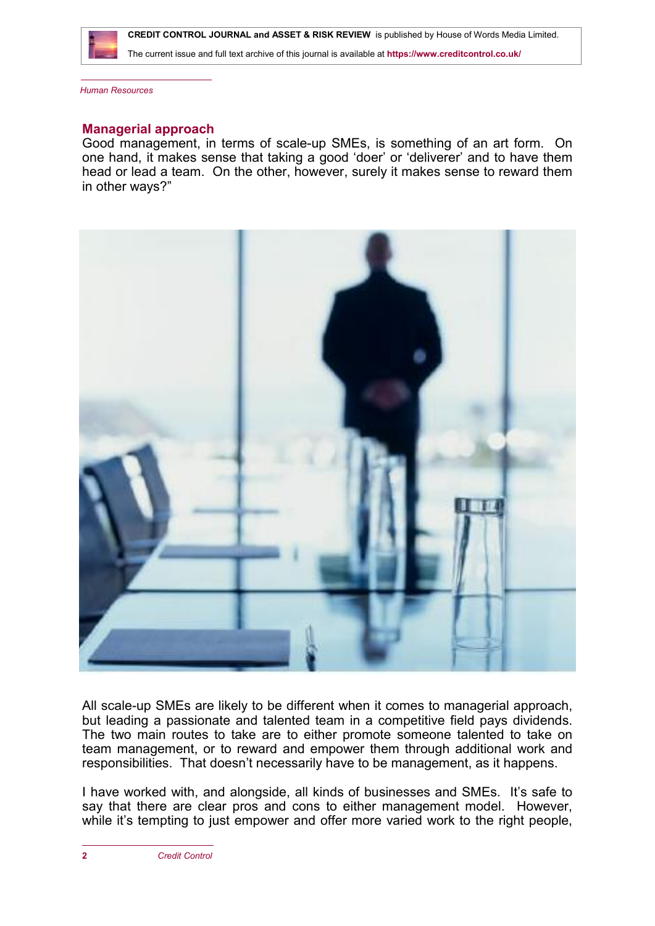

The current issue and full text archive of this journal is available at **<https://www.creditcontrol.co.uk/>**

*Human Resources*

#### **Managerial approach**

Good management, in terms of scale-up SMEs, is something of an art form. On one hand, it makes sense that taking a good 'doer' or 'deliverer' and to have them head or lead a team. On the other, however, surely it makes sense to reward them in other ways?"



All scale-up SMEs are likely to be different when it comes to managerial approach, but leading a passionate and talented team in a competitive field pays dividends. The two main routes to take are to either promote someone talented to take on team management, or to reward and empower them through additional work and responsibilities. That doesn't necessarily have to be management, as it happens.

I have worked with, and alongside, all kinds of businesses and SMEs. It's safe to say that there are clear pros and cons to either management model. However, while it's tempting to just empower and offer more varied work to the right people,